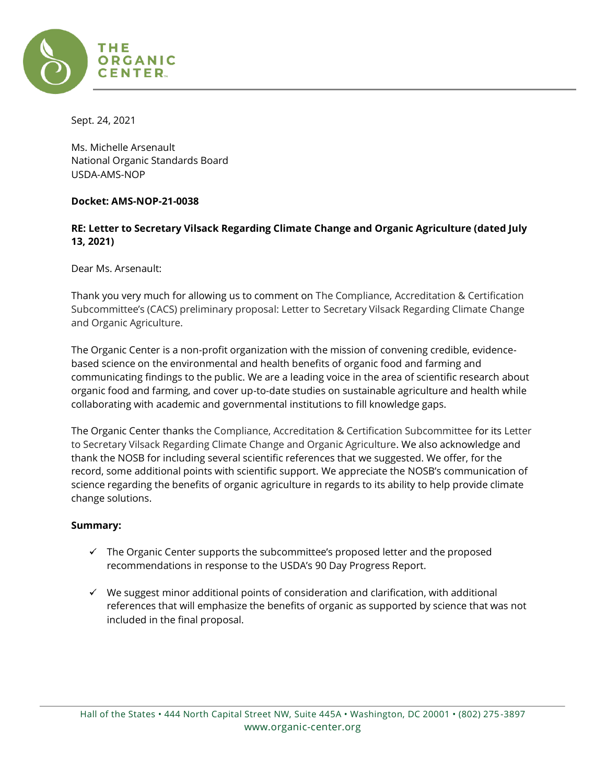

Sept. 24, 2021

Ms. Michelle Arsenault National Organic Standards Board USDA-AMS-NOP

### **Docket: AMS-NOP-21-0038**

# **RE: Letter to Secretary Vilsack Regarding Climate Change and Organic Agriculture (dated July 13, 2021)**

Dear Ms. Arsenault:

Thank you very much for allowing us to comment on The Compliance, Accreditation & Certification Subcommittee's (CACS) preliminary proposal: Letter to Secretary Vilsack Regarding Climate Change and Organic Agriculture.

The Organic Center is a non-profit organization with the mission of convening credible, evidencebased science on the environmental and health benefits of organic food and farming and communicating findings to the public. We are a leading voice in the area of scientific research about organic food and farming, and cover up-to-date studies on sustainable agriculture and health while collaborating with academic and governmental institutions to fill knowledge gaps.

The Organic Center thanks the Compliance, Accreditation & Certification Subcommittee for its Letter to Secretary Vilsack Regarding Climate Change and Organic Agriculture. We also acknowledge and thank the NOSB for including several scientific references that we suggested. We offer, for the record, some additional points with scientific support. We appreciate the NOSB's communication of science regarding the benefits of organic agriculture in regards to its ability to help provide climate change solutions.

# **Summary:**

- $\checkmark$  The Organic Center supports the subcommittee's proposed letter and the proposed recommendations in response to the USDA's 90 Day Progress Report.
- $\checkmark$  We suggest minor additional points of consideration and clarification, with additional references that will emphasize the benefits of organic as supported by science that was not included in the final proposal.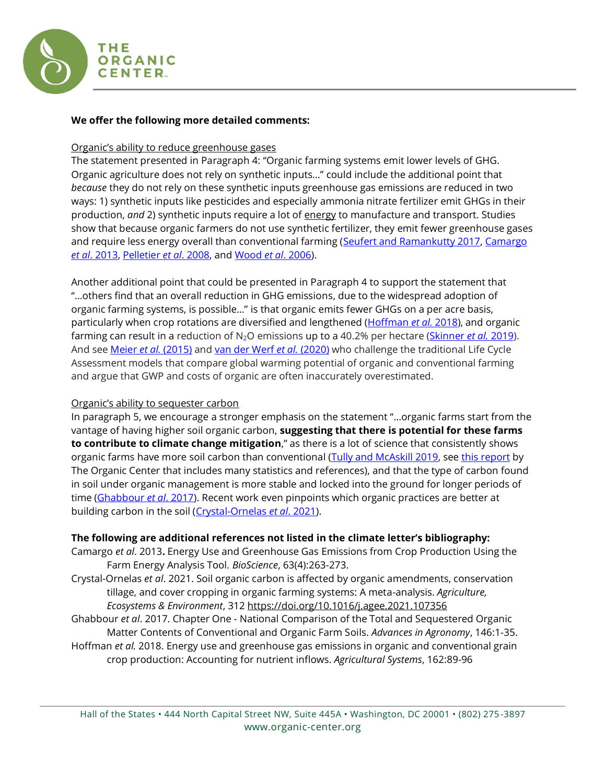

## **We offer the following more detailed comments:**

### Organic's ability to reduce greenhouse gases

The statement presented in Paragraph 4: "Organic farming systems emit lower levels of GHG. Organic agriculture does not rely on synthetic inputs…" could include the additional point that *because* they do not rely on these synthetic inputs greenhouse gas emissions are reduced in two ways: 1) synthetic inputs like pesticides and especially ammonia nitrate fertilizer emit GHGs in their production, *and* 2) synthetic inputs require a lot of energy to manufacture and transport. Studies show that because organic farmers do not use synthetic fertilizer, they emit fewer greenhouse gases and require less energy overall than conventional farming (Seufert and [Ramankutty 2017,](https://advances.sciencemag.org/content/3/3/e1602638) Camargo *et al*[. 2013,](https://academic.oup.com/bioscience/article/63/4/263/253267?login=true) [Pelletier](https://pubmed.ncbi.nlm.nih.gov/18574623/) *et al*. 2008, and [Wood](https://www.sciencedirect.com/science/article/abs/pii/S0308521X05001939) *et al*. 2006).

Another additional point that could be presented in Paragraph 4 to support the statement that "…others find that an overall reduction in GHG emissions, due to the widespread adoption of organic farming systems, is possible…" is that organic emits fewer GHGs on a per acre basis, particularly when crop rotations are diversified and lengthened [\(Hoffman](https://www.researchgate.net/publication/324867806_Energy_use_and_greenhouse_gas_emissions_in_organic_and_conventional_grain_crop_production_Accounting_for_nutrient_inflows) *et al.* 2018), and organic farming can result in a reduction of N<sub>2</sub>O emissions up to a 40.2% per hectare [\(Skinner](https://www.nature.com/articles/s41598-018-38207-w) et al. 2019). And see [Meier](https://www.sciencedirect.com/science/article/pii/S0301479714004964) *et al.* (2015) and [van der Werf](https://www.nature.com/articles/s41893-020-0489-6) *et al.* (2020) who challenge the traditional Life Cycle Assessment models that compare global warming potential of organic and conventional farming and argue that GWP and costs of organic are often inaccurately overestimated.

# Organic's ability to sequester carbon

In paragraph 5, we encourage a stronger emphasis on the statement "…organic farms start from the vantage of having higher soil organic carbon, **suggesting that there is potential for these farms to contribute to climate change mitigation**," as there is a lot of science that consistently shows organic farms have more soil carbon than conventional [\(Tully and McAskill 2019,](https://link.springer.com/article/10.1007/s13165-019-00275-1) see [this report](https://www.organic-center.org/sites/default/files/Soil/the_organic_center_carbon_sequestration.pdf) by The Organic Center that includes many statistics and references), and that the type of carbon found in soil under organic management is more stable and locked into the ground for longer periods of time [\(Ghabbour](https://www.sciencedirect.com/science/article/pii/S0065211317300676?via%3Dihub) *et al*. 2017). Recent work even pinpoints which organic practices are better at building carbon in the soil [\(Crystal-Ornelas](https://www.sciencedirect.com/science/article/abs/pii/S0167880921000608) *et al*. 2021).

# **The following are additional references not listed in the climate letter's bibliography:**

- Camargo *et al*. 2013**.** Energy Use and Greenhouse Gas Emissions from Crop Production Using the Farm Energy Analysis Tool. *BioScience*, 63(4):263-273.
- Crystal-Ornelas *et al*. 2021. Soil organic carbon is affected by organic amendments, conservation tillage, and cover cropping in organic farming systems: A meta-analysis. *Agriculture, Ecosystems & Environment*, 312<https://doi.org/10.1016/j.agee.2021.107356>
- Ghabbour *et al*. 2017. Chapter One National Comparison of the Total and Sequestered Organic Matter Contents of Conventional and Organic Farm Soils. *Advances in Agronomy*, 146:1-35. Hoffman *et al.* 2018. Energy use and greenhouse gas emissions in organic and conventional grain

crop production: Accounting for nutrient inflows. *Agricultural Systems*, 162:89-96